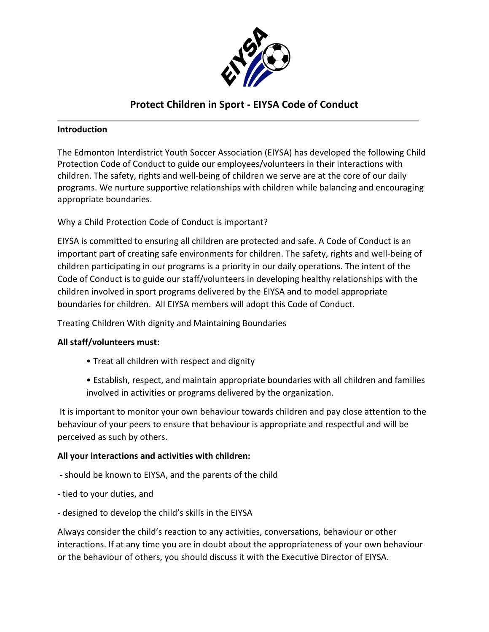

# **Protect Children in Sport - EIYSA Code of Conduct**

### **Introduction**

The Edmonton Interdistrict Youth Soccer Association (EIYSA) has developed the following Child Protection Code of Conduct to guide our employees/volunteers in their interactions with children. The safety, rights and well-being of children we serve are at the core of our daily programs. We nurture supportive relationships with children while balancing and encouraging appropriate boundaries.

Why a Child Protection Code of Conduct is important?

EIYSA is committed to ensuring all children are protected and safe. A Code of Conduct is an important part of creating safe environments for children. The safety, rights and well-being of children participating in our programs is a priority in our daily operations. The intent of the Code of Conduct is to guide our staff/volunteers in developing healthy relationships with the children involved in sport programs delivered by the EIYSA and to model appropriate boundaries for children. All EIYSA members will adopt this Code of Conduct.

Treating Children With dignity and Maintaining Boundaries

### **All staff/volunteers must:**

- Treat all children with respect and dignity
- Establish, respect, and maintain appropriate boundaries with all children and families involved in activities or programs delivered by the organization.

It is important to monitor your own behaviour towards children and pay close attention to the behaviour of your peers to ensure that behaviour is appropriate and respectful and will be perceived as such by others.

### **All your interactions and activities with children:**

- should be known to EIYSA, and the parents of the child
- tied to your duties, and
- designed to develop the child's skills in the EIYSA

Always consider the child's reaction to any activities, conversations, behaviour or other interactions. If at any time you are in doubt about the appropriateness of your own behaviour or the behaviour of others, you should discuss it with the Executive Director of EIYSA.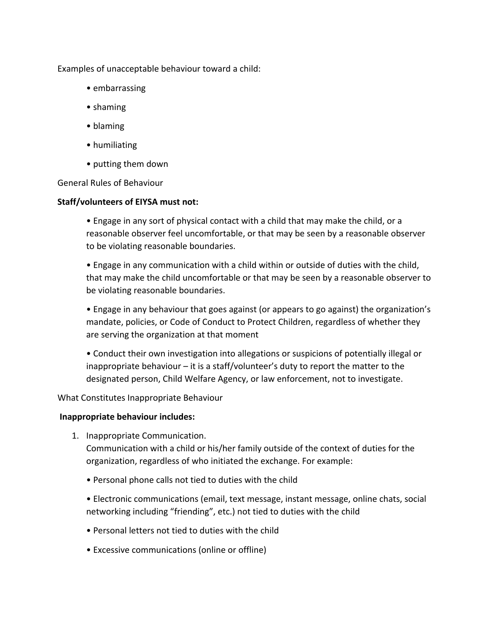Examples of unacceptable behaviour toward a child:

- embarrassing
- shaming
- blaming
- humiliating
- putting them down

General Rules of Behaviour

#### **Staff/volunteers of EIYSA must not:**

• Engage in any sort of physical contact with a child that may make the child, or a reasonable observer feel uncomfortable, or that may be seen by a reasonable observer to be violating reasonable boundaries.

• Engage in any communication with a child within or outside of duties with the child, that may make the child uncomfortable or that may be seen by a reasonable observer to be violating reasonable boundaries.

• Engage in any behaviour that goes against (or appears to go against) the organization's mandate, policies, or Code of Conduct to Protect Children, regardless of whether they are serving the organization at that moment

• Conduct their own investigation into allegations or suspicions of potentially illegal or inappropriate behaviour – it is a staff/volunteer's duty to report the matter to the designated person, Child Welfare Agency, or law enforcement, not to investigate.

What Constitutes Inappropriate Behaviour

#### **Inappropriate behaviour includes:**

1. Inappropriate Communication.

Communication with a child or his/her family outside of the context of duties for the organization, regardless of who initiated the exchange. For example:

• Personal phone calls not tied to duties with the child

• Electronic communications (email, text message, instant message, online chats, social networking including "friending", etc.) not tied to duties with the child

- Personal letters not tied to duties with the child
- Excessive communications (online or offline)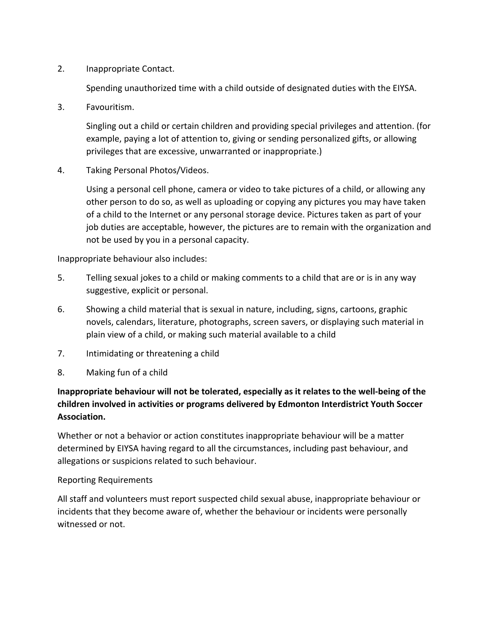2. Inappropriate Contact.

Spending unauthorized time with a child outside of designated duties with the EIYSA.

3. Favouritism.

Singling out a child or certain children and providing special privileges and attention. (for example, paying a lot of attention to, giving or sending personalized gifts, or allowing privileges that are excessive, unwarranted or inappropriate.)

4. Taking Personal Photos/Videos.

Using a personal cell phone, camera or video to take pictures of a child, or allowing any other person to do so, as well as uploading or copying any pictures you may have taken of a child to the Internet or any personal storage device. Pictures taken as part of your job duties are acceptable, however, the pictures are to remain with the organization and not be used by you in a personal capacity.

Inappropriate behaviour also includes:

- 5. Telling sexual jokes to a child or making comments to a child that are or is in any way suggestive, explicit or personal.
- 6. Showing a child material that is sexual in nature, including, signs, cartoons, graphic novels, calendars, literature, photographs, screen savers, or displaying such material in plain view of a child, or making such material available to a child
- 7. Intimidating or threatening a child
- 8. Making fun of a child

## **Inappropriate behaviour will not be tolerated, especially as it relates to the well-being of the children involved in activities or programs delivered by Edmonton Interdistrict Youth Soccer Association.**

Whether or not a behavior or action constitutes inappropriate behaviour will be a matter determined by EIYSA having regard to all the circumstances, including past behaviour, and allegations or suspicions related to such behaviour.

#### Reporting Requirements

All staff and volunteers must report suspected child sexual abuse, inappropriate behaviour or incidents that they become aware of, whether the behaviour or incidents were personally witnessed or not.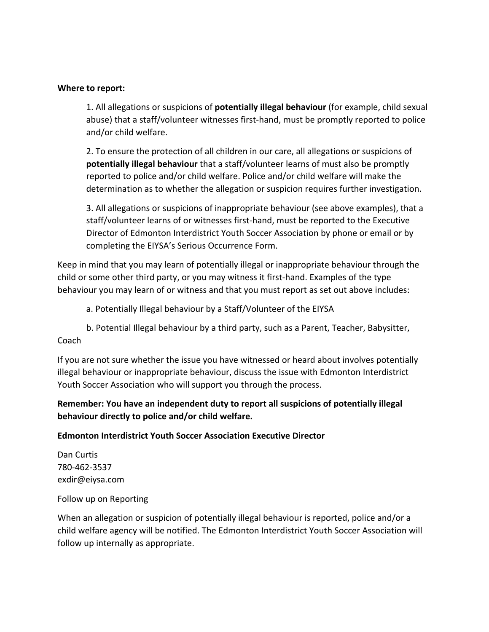#### **Where to report:**

1. All allegations or suspicions of **potentially illegal behaviour** (for example, child sexual abuse) that a staff/volunteer witnesses first-hand, must be promptly reported to police and/or child welfare.

2. To ensure the protection of all children in our care, all allegations or suspicions of **potentially illegal behaviour** that a staff/volunteer learns of must also be promptly reported to police and/or child welfare. Police and/or child welfare will make the determination as to whether the allegation or suspicion requires further investigation.

3. All allegations or suspicions of inappropriate behaviour (see above examples), that a staff/volunteer learns of or witnesses first-hand, must be reported to the Executive Director of Edmonton Interdistrict Youth Soccer Association by phone or email or by completing the EIYSA's Serious Occurrence Form.

Keep in mind that you may learn of potentially illegal or inappropriate behaviour through the child or some other third party, or you may witness it first-hand. Examples of the type behaviour you may learn of or witness and that you must report as set out above includes:

- a. Potentially Illegal behaviour by a Staff/Volunteer of the EIYSA
- b. Potential Illegal behaviour by a third party, such as a Parent, Teacher, Babysitter,

### Coach

If you are not sure whether the issue you have witnessed or heard about involves potentially illegal behaviour or inappropriate behaviour, discuss the issue with Edmonton Interdistrict Youth Soccer Association who will support you through the process.

### **Remember: You have an independent duty to report all suspicions of potentially illegal behaviour directly to police and/or child welfare.**

#### **Edmonton Interdistrict Youth Soccer Association Executive Director**

Dan Curtis 780-462-3537 exdir@eiysa.com

#### Follow up on Reporting

When an allegation or suspicion of potentially illegal behaviour is reported, police and/or a child welfare agency will be notified. The Edmonton Interdistrict Youth Soccer Association will follow up internally as appropriate.